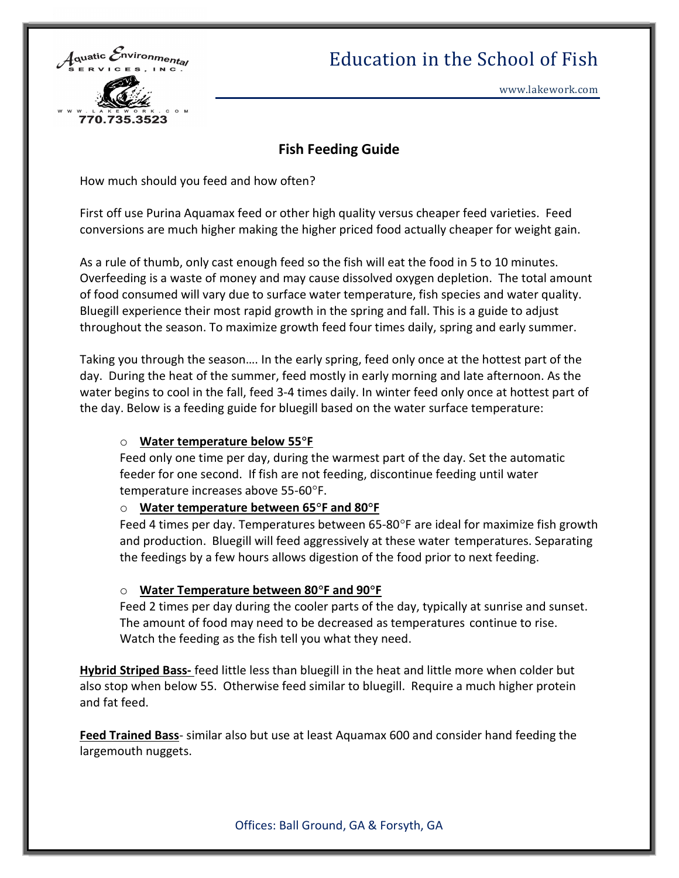

# Education in the School of Fish

## Fish Feeding Guide

How much should you feed and how often?

First off use Purina Aquamax feed or other high quality versus cheaper feed varieties. Feed conversions are much higher making the higher priced food actually cheaper for weight gain.

As a rule of thumb, only cast enough feed so the fish will eat the food in 5 to 10 minutes. Overfeeding is a waste of money and may cause dissolved oxygen depletion. The total amount of food consumed will vary due to surface water temperature, fish species and water quality. Bluegill experience their most rapid growth in the spring and fall. This is a guide to adjust throughout the season. To maximize growth feed four times daily, spring and early summer.

Taking you through the season…. In the early spring, feed only once at the hottest part of the day. During the heat of the summer, feed mostly in early morning and late afternoon. As the water begins to cool in the fall, feed 3-4 times daily. In winter feed only once at hottest part of the day. Below is a feeding guide for bluegill based on the water surface temperature:

## o Water temperature below 55°F

Feed only one time per day, during the warmest part of the day. Set the automatic feeder for one second. If fish are not feeding, discontinue feeding until water temperature increases above 55-60F.

#### $\circ$  Water temperature between 65°F and 80°F

Feed 4 times per day. Temperatures between  $65-80^{\circ}$ F are ideal for maximize fish growth and production. Bluegill will feed aggressively at these water temperatures. Separating the feedings by a few hours allows digestion of the food prior to next feeding.

#### $\circ$  Water Temperature between 80°F and 90°F

Feed 2 times per day during the cooler parts of the day, typically at sunrise and sunset. The amount of food may need to be decreased as temperatures continue to rise. Watch the feeding as the fish tell you what they need.

**Hybrid Striped Bass-** feed little less than bluegill in the heat and little more when colder but also stop when below 55. Otherwise feed similar to bluegill. Require a much higher protein and fat feed.

Feed Trained Bass- similar also but use at least Aquamax 600 and consider hand feeding the largemouth nuggets.

Offices: Ball Ground, GA & Forsyth, GA